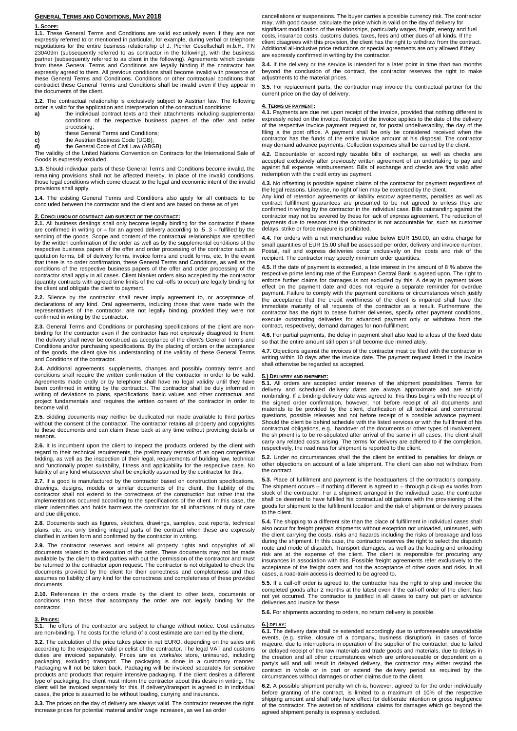# **GENERAL TERMS AND CONDITIONS, MAY 2018**

# **1. SCOPE:**

**1.1.** These General Terms and Conditions are valid exclusively even if they are not expressly referred to or mentioned in particular, for example, during verbal or telephone negotiations for the entire business relationship of J. Pichler Gesellschaft m.b.H., FN 230409m (subsequently reterred to as contractor in the following), with the business<br>partner (subsequently referred to as client in the following). Agreements which deviate<br>from these General Terms and Conditions are legal expressly agreed to them. All previous conditions shall become invalid with presence of these General Terms and Conditions. Conditions or other contractual conditions that contradict these General Terms and Conditions shall be invalid even if they appear in the documents of the client.

**1.2.** The contractual relationship is exclusively subject to Austrian law. The following order is valid for the application and interpretation of the contractual conditions:

**a)** the individual contract texts and their attachments including supplemental conditions of the respective business papers of the offer and order

- processing;
- **b)** these General Terms and Conditions;<br> **c)** the Austrian Business Code (UGB);
- **c)** the Austrian Business Code (UGB);<br> **d)** the General Code of Civil Law (ABC **d)** the General Code of Civil Law (ABGB).

The validity of the United Nations Convention on Contracts for the International Sale of Goods is expressly excluded.

**1.3.** Should individual parts of these General Terms and Conditions become invalid, the remaining provisions shall not be affected thereby. In place of the invalid conditions, those legal conditions which come closest to the legal and economic intent of the invalid provisions shall apply.

**1.4.** The existing General Terms and Conditions also apply for all contracts to be concluded between the contractor and the client and are based on these as of yet.

# **2. CONCLUSION OF CONTRACT AND SUBJECT OF THE CONTRACT:**

**2.1.** All business dealings shall only become legally binding for the contractor if these are confirmed in writing or – for an agreed delivery according to .5 .3 – fulfilled by the sending of the goods. Scope and content of the contractual relationships are specified by the written confirmation of the order as well as by the supplemental conditions of the respective business papers of the offer and order processing of the contractor such as quotation forms, bill of delivery forms, invoice forms and credit forms, etc. In the event that there is no order confirmation, these General Terms and Conditions, as well as the conditions of the respective business papers of the offer and order processing of the contractor shall apply in all cases. Client blanket orders also accepted by the contractor (quantity contracts with agreed time limits of the call-offs to occur) are legally binding for the client and obligate the client to payment.

**2.2.** Silence by the contractor shall never imply agreement to, or acceptance of, declarations of any kind. Oral agreements, including those that were made with the representatives of the contractor, are not legally binding, provided they were not confirmed in writing by the contractor.

**2.3.** General Terms and Conditions or purchasing specifications of the client are nonbinding for the contractor even if the contractor has not expressly disagreed to them. The delivery shall never be construed as acceptance of the client's General Terms and Conditions and/or purchasing specifications. By the placing of orders or the acceptance of the goods, the client give his understanding of the validity of these General Terms and Conditions of the contractor.

**2.4.** Additional agreements, supplements, changes and possibly contrary terms and conditions shall require the written confirmation of the contractor in order to be valid. Agreements made orally or by telephone shall have no legal validity until they have been confirmed in writing by the contractor. The contractor shall be duly informed in writing of deviations to plans, specifications, basic values and other contractual and project fundamentals and requires the written consent of the contractor in order to become valid.

**2.5.** Bidding documents may neither be duplicated nor made available to third parties without the consent of the contractor. The contractor retains all property and copyrights to these documents and can claim these back at any time without providing details or reasons.

**2.6.** It is incumbent upon the client to inspect the products ordered by the client with regard to their technical requirements, the preliminary remarks of an open competitive bidding, as well as the inspection of their legal, requirements of building law, technical and functionally proper suitability, fitness and applicability for the respective case. No liability of any kind whatsoever shall be explicitly assumed by the contractor for this.

**2.7.** If a good is manufactured by the contractor based on construction specifications, drawings, designs, models or similar documents of the client, the liability of the contractor shall not extend to the correctness of the construction but rather that the implementations occurred according to the specifications of the client. In this case, the client indemnifies and holds harmless the contractor for all infractions of duty of care and due diligence.

**2.8.** Documents such as figures, sketches, drawings, samples, cost reports, technical plans, etc. are only binding integral parts of the contract when these are expressly clarified in written form and confirmed by the contractor in writing.

**2.9.** The contractor reserves and retains all property rights and copyrights of all documents related to the execution of the order. These documents may not be made available by the client to third parties with out the permission of the contractor and must be returned to the contractor upon request. The contractor is not obligated to check the documents provided by the client for their correctness and completeness and thus assumes no liability of any kind for the correctness and completeness of these provided documents.

**2.10.** References in the orders made by the client to other texts, documents or conditions than those that accompany the order are not legally binding for the contractor.

### **3. PRICES:**

**3.1.** The offers of the contractor are subject to change without notice. Cost estimates are non-binding. The costs for the refund of a cost estimate are carried by the client.

**3.2.** The calculation of the price takes place in net EURO, depending on the sales unit according to the respective valid pricelist of the contractor. The legal VAT and customs duties are invoiced separately. Prices are ex works/ex store, uninsured, including<br>packaging, excluding transport. The packaging is done in a customary manner.<br>Packaging will not be taken back. Packaging will be invoiced s products and products that require intensive packaging. If the client desires a different type of packaging, the client must inform the contractor about this desire in writing. The client will be invoiced separately for this. If delivery/transport is agreed to in individual cases, the price is assumed to be without loading, carrying and insurance.

**3.3.** The prices on the day of delivery are always valid. The contractor reserves the right increase prices for potential material and/or wage increases, as well as order

cancellations or suspensions. The buyer carries a possible currency risk. The contractor may, with good cause, calculate the price which is valid on the day of delivery for significant modification of the relationships, particularly wages, freight, energy and fuel costs, insurance costs, customs duties, taxes, fees and other dues of all kinds. If the client disagrees with this provision, the client has the right to withdraw from the contract. Additional all-inclusive price reductions or special agreements are only allowed if they are expressly confirmed in writing by the contractor.

**3.4.** If the delivery or the service is intended for a later point in time than two months beyond the conclusion of the contract, the contractor reserves the right to make adjustments to the material prices.

**3.5.** For replacement parts, the contractor may invoice the contractual partner for the current price on the day of delivery.

# **4. TERMS OF PAYMENT:**

**4.1.** Payments are due net upon receipt of the invoice, provided that nothing different is expressly noted on the invoice. Receipt of the invoice applies to the date of the delivery of the respective invoice payment request or, for postal undeliverability, the day of the filing a the post office. A payment shall be only be considered received when the contractor has the funds of the entire invoice amount at his disposal. The contractor may demand advance payments. Collection expenses shall be carried by the client.

4.2. Discountable or accordingly taxable bills of exchange, as well as checks are<br>accepted exclusively after previously written agreement of an undertaking to pay and<br>against full expense reimbursement. Bills of exchange a redemption with the credit entry as payment.

**4.3.** No offsetting is possible against claims of the contractor for payment regardless of the legal reasons. Likewise, no right of lien may be exercised by the client.

Any kind of retention agreements or liability escrow agreements, penalties as well as<br>contract fulfillment guarantees are presumed to be not agreed to unless they are<br>confirmed in writing by the contractor in the individua contractor may not be severed by these for lack of express agreement. The reduction of payments due to reasons that the contractor is not accountable for, such as customer delays, strike or force majeure is prohibited.

**4.4.** For orders with a net merchandise value below EUR 150.00, an extra charge for small quantities of EUR 15.00 shall be assessed per order, delivery and invoice number. Postal, rail and express deliveries occur exclusively on the costs and risk of the recipient. The contractor may specify minimum order quantities.

**4.5.** If the date of payment is exceeded, a late interest in the amount of 8 % above the respective prime lending rate of the European Central Bank is agreed upon. The right to enforce further claims for damages is not excluded by this. A delay in payment takes effect on the payment date and does not require a separate reminder for overdue payment. Failure to comply with the payment conditions or circumstances which justify the acceptance that the credit worthiness of the client is impaired shall have the immediate maturity of all requests of the contractor as a result. Furthermore, the contractor has the right to cease further deliveries, specify other payment conditions, execute outstanding deliveries for advanced payment only or withdraw from the contract, respectively, demand damages for non-fulfillment.

**4.6.** For partial payments, the delay in payment shall also lead to a loss of the fixed date so that the entire amount still open shall become due immediately.

**4.7.** Objections against the invoices of the contractor must be filed with the contractor in writing within 10 days after the invoice date. The payment request listed in the invoice shall otherwise be regarded as accepted.

### **5.) DELIVERY AND SHIPMENT:**

**5.1.** All orders are accepted under reserve of the shipment possibilities. Terms for delivery and scheduled delivery dates are always approximate and are strictly nonbinding. If a binding delivery date was agreed to, this thus begins with the receipt of the signed order confirmation, however, not before receipt of all documents and materials to be provided by the client, clarification of all technical and commercial<br>questions, possible releases and not before receipt of a possible advance payment.<br>Should the client be behind schedule with the listed contractual obligations, e.g., handover of the documents or other types of involvement, the shipment is to be re-stipulated after arrival of the same in all cases. The client shall carry any related costs arising. The terms for delivery are adhered to if the completion, respectively, the readiness for shipment is reported to the client.

**5.2.** Under no circumstances shall the the client be entitled to penalties for delays or other objections on account of a late shipment. The client can also not withdraw from the contract.

**5.3.** Place of fulfillment and payment is the headquarters of the contractor's company. The shipment occurs – if nothing different is agreed to – through pick-up ex works from stock of the contractor. For a shipment arranged in the individual case, the contractor shall be deemed to have fulfilled his contractual obligations with the provisioning of the goods for shipment to the fulfillment location and the risk of shipment or delivery passes to the client.

**5.4.** The shipping to a different site than the place of fulfillment in individual cases shall also occur for freight prepaid shipments without exception not unloaded, uninsured, with the client carrying the costs, risks and hazards including the risks of breakage and loss during the shipment. In this case, the contractor reserves the right to select the dispatch route and mode of dispatch. Transport damages, as well as the loading and unloading risk are at the expense of the client. The client is responsible for procuring any insurances in association with this. Possible freight agreements refer exclusively to the acceptance of the freight costs and not the acceptance of other costs and risks. In all cases, a road-train access is deemed to be agreed to.

**5.5.** If a call-off order is agreed to, the contractor has the right to ship and invoice the completed goods after 2 months at the latest even if the call-off order of the client has not yet occurred. The contractor is justified in all cases to carry out part or advance deliveries and invoice for these.

**5.6.** For shipments according to orders, no return delivery is possible.

**6.) DELAY: 6.1.** The delivery date shall be extended accordingly due to unforeseeable unavoidable events, (e.g. strike, closure of a company, business disruption), in cases of force<br>majeure, due to interruptions in operation of the supplier of the contractor, due to failed<br>or delayed receipt of the raw materials and tr the creation and all other circumstances which are unforeseeable or dependent on a<br>party's will and will result in delayed delivery, the contractor may either rescind the<br>contract in whole or in part or extend the delivery circumstances without damages or other claims due to the client.

**6.2.** A possible shipment penalty which is, however, agreed to for the order individually before granting of the contract, is limited to a maximum of 10% of the respective shipping amount and shall only have effect for deliberate intention or gross negligence of the contractor. The assertion of additional claims for damages which go beyond the agreed shipment penalty is expressly excluded.